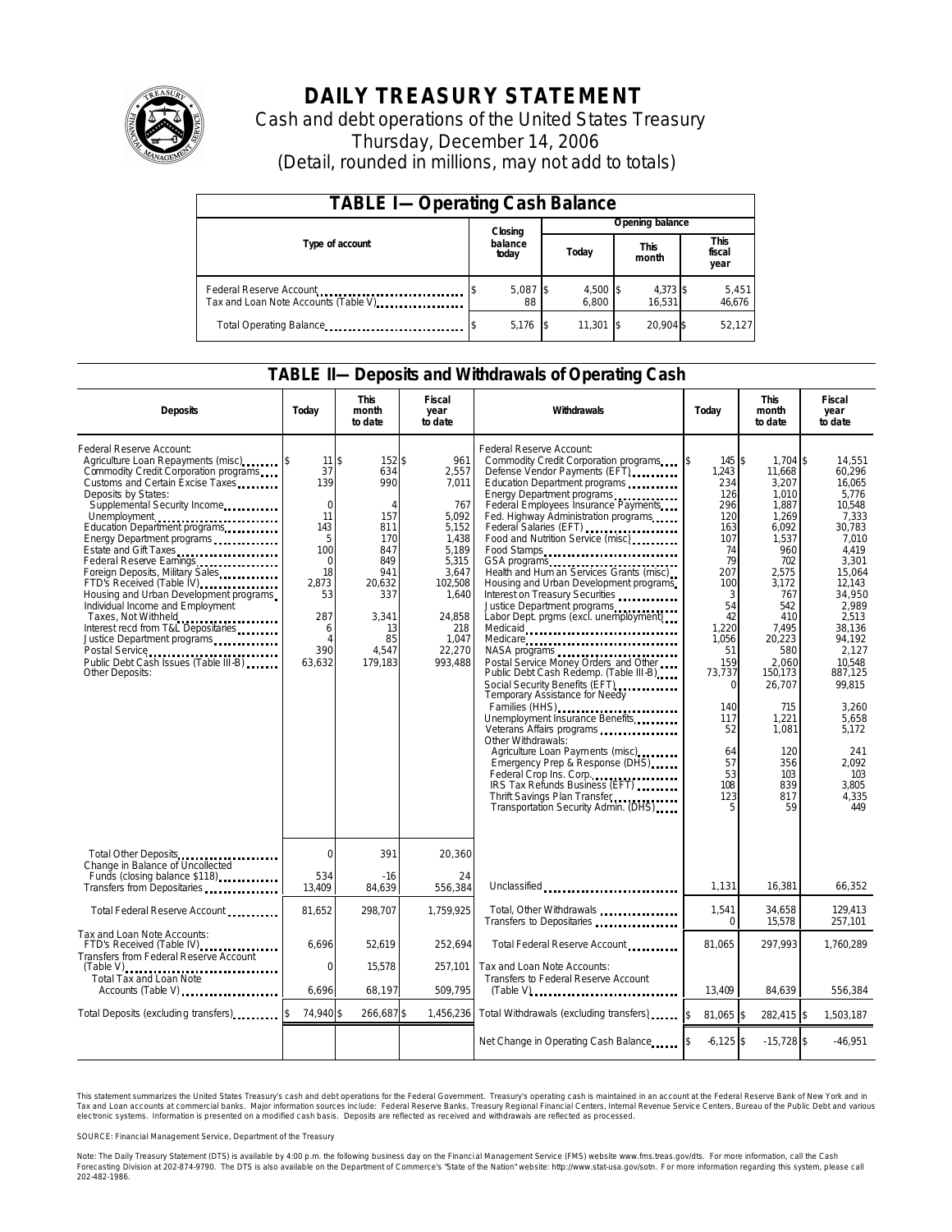

## **DAILY TREASURY STATEMENT**

Cash and debt operations of the United States Treasury Thursday, December 14, 2006 (Detail, rounded in millions, may not add to totals)

| <b>TABLE I-Operating Cash Balance</b>                           |                  |                |       |                   |                      |                    |  |                               |  |
|-----------------------------------------------------------------|------------------|----------------|-------|-------------------|----------------------|--------------------|--|-------------------------------|--|
|                                                                 |                  | Closing        |       | Opening balance   |                      |                    |  |                               |  |
| Type of account                                                 | balance<br>today |                | Today |                   | <b>This</b><br>month |                    |  | <b>This</b><br>fiscal<br>year |  |
| Federal Reserve Account<br>Tax and Loan Note Accounts (Table V) |                  | 5,087 \$<br>88 |       | 4,500 \$<br>6.800 |                      | 4,373 \$<br>16.531 |  | 5,451<br>46,676               |  |
| Total Operating Balance                                         |                  | 5,176          |       | 11,301            |                      | 20.904 \$          |  | 52,127                        |  |

### **TABLE II—Deposits and Withdrawals of Operating Cash**

| <b>Deposits</b>                                                                                                                                                                                                                                                                                                                                                                                                                                                                                                                                                                                   | Today                                                                                                                                                  | <b>This</b><br>month<br>to date                                                                                                            | Fiscal<br>year<br>to date                                                                                                                             | <b>Withdrawals</b>                                                                                                                                                                                                                                                                                                                                                                                                                                                                                                                                                                                                                                                                                                                                                                                                                                                                                                                                                                                                | Today                                                                                                                                                                                                         | <b>This</b><br>month<br>to date                                                                                                                                                                                                                           | <b>Fiscal</b><br>year<br>to date                                                                                                                                                                                                                                                   |
|---------------------------------------------------------------------------------------------------------------------------------------------------------------------------------------------------------------------------------------------------------------------------------------------------------------------------------------------------------------------------------------------------------------------------------------------------------------------------------------------------------------------------------------------------------------------------------------------------|--------------------------------------------------------------------------------------------------------------------------------------------------------|--------------------------------------------------------------------------------------------------------------------------------------------|-------------------------------------------------------------------------------------------------------------------------------------------------------|-------------------------------------------------------------------------------------------------------------------------------------------------------------------------------------------------------------------------------------------------------------------------------------------------------------------------------------------------------------------------------------------------------------------------------------------------------------------------------------------------------------------------------------------------------------------------------------------------------------------------------------------------------------------------------------------------------------------------------------------------------------------------------------------------------------------------------------------------------------------------------------------------------------------------------------------------------------------------------------------------------------------|---------------------------------------------------------------------------------------------------------------------------------------------------------------------------------------------------------------|-----------------------------------------------------------------------------------------------------------------------------------------------------------------------------------------------------------------------------------------------------------|------------------------------------------------------------------------------------------------------------------------------------------------------------------------------------------------------------------------------------------------------------------------------------|
| Federal Reserve Account:<br>Agriculture Loan Repayments (misc)<br>Commodity Credit Corporation programs<br>Customs and Certain Excise Taxes<br>Deposits by States:<br>Supplemental Security Income<br>Energy Department programs<br>Estate and Gift Taxes<br><br>Federal Reserve Earnings<br>Foreign Deposits, Military Sales<br>FTD's Received (Table IV)<br>Housing and Urban Development programs<br>Individual Income and Employment<br>Taxes, Not Withheld<br>Interest recd from T&L Depositaries<br>Justice Department programs<br>Public Debt Cash Issues (Table III B)<br>Other Deposits: | $11$ $\bar{s}$<br>37<br>139<br>$\mathbf 0$<br>11<br>143<br>5<br>100<br>$\mathbf 0$<br>18<br>2.873<br>53<br>287<br>6<br>$\overline{A}$<br>390<br>63,632 | 152 \$<br>634<br>990<br>$\overline{A}$<br>157<br>811<br>170<br>847<br>849<br>941<br>20.632<br>337<br>3.341<br>13<br>85<br>4.547<br>179,183 | 961<br>2,557<br>7.011<br>767<br>5,092<br>5,152<br>1,438<br>5.189<br>5,315<br>3.647<br>102,508<br>1.640<br>24.858<br>218<br>1,047<br>22,270<br>993,488 | Federal Reserve Account:<br>Commodity Credit Corporation programs \ \ \ \ \<br>Defense Vendor Payments (EFT)<br>Education Department programs<br>Energy Department programs<br>Federal Employees Insurance Payments<br>Fed. Highway Administration programs<br>Federal Salaries (EFT)<br>Food and Nutrition Service (misc)<br>Food Stamps<br>Health and Hum an Services Grants (misc)<br>Housing and Urban Development programs<br>Interest on Treasury Securities<br>Justice Department programs<br>Labor Dept. prgms (excl. unemployment)<br>Medicaid<br>Medicare<br>Postal Service Money Orders and Other<br>Public Debt Cash Redemp. (Table III-B)<br>Social Security Benefits (EFT)<br>Temporary Assistance for Needy<br>Families (HHS)<br>Unemployment Insurance Benefits<br>Other Withdrawals:<br>Agriculture Loan Payments (misc)<br>Emergency Prep & Response (DHS)<br>Federal Crop Ins. Corp.<br>IRS Tax Refunds Business (EFT)<br>Thrift Savings Plan Transfer<br>Transportation Security Admin. (DHS) | 145 \$<br>1,243<br>234<br>126<br>296<br>120<br>163<br>107<br>74<br>79<br>207<br>100<br>3<br>54<br>42<br>1.220<br>1,056<br>51<br>159<br>73,737<br>$\Omega$<br>140<br>117<br>52<br>64<br>57<br>53<br>108<br>123 | $1.704$ \$<br>11.668<br>3,207<br>1.010<br>1,887<br>1,269<br>6,092<br>1,537<br>960<br>702<br>2.575<br>3,172<br>767<br>542<br>410<br>7.495<br>20,223<br>580<br>2,060<br>150,173<br>26,707<br>715<br>1,221<br>1.081<br>120<br>356<br>103<br>839<br>817<br>59 | 14,551<br>60.296<br>16.065<br>5.776<br>10,548<br>7,333<br>30,783<br>7,010<br>4.419<br>3,301<br>15.064<br>12,143<br>34.950<br>2.989<br>2.513<br>38.136<br>94,192<br>2.127<br>10.548<br>887,125<br>99,815<br>3.260<br>5,658<br>5.172<br>241<br>2.092<br>103<br>3,805<br>4,335<br>449 |
| Total Other Deposits<br>Change in Balance of Uncollected                                                                                                                                                                                                                                                                                                                                                                                                                                                                                                                                          | $\Omega$                                                                                                                                               | 391                                                                                                                                        | 20,360                                                                                                                                                |                                                                                                                                                                                                                                                                                                                                                                                                                                                                                                                                                                                                                                                                                                                                                                                                                                                                                                                                                                                                                   |                                                                                                                                                                                                               |                                                                                                                                                                                                                                                           |                                                                                                                                                                                                                                                                                    |
| Funds (closing balance \$118)<br>Funds (closing balance \$118)<br>Transfers from Depositaries                                                                                                                                                                                                                                                                                                                                                                                                                                                                                                     | 534<br>13,409                                                                                                                                          | -16<br>84,639                                                                                                                              | 24<br>556,384                                                                                                                                         | Unclassified                                                                                                                                                                                                                                                                                                                                                                                                                                                                                                                                                                                                                                                                                                                                                                                                                                                                                                                                                                                                      | 1,131                                                                                                                                                                                                         | 16,381                                                                                                                                                                                                                                                    | 66.352                                                                                                                                                                                                                                                                             |
| Total Federal Reserve Account                                                                                                                                                                                                                                                                                                                                                                                                                                                                                                                                                                     | 81,652                                                                                                                                                 | 298.707                                                                                                                                    | 1.759.925                                                                                                                                             | Total, Other Withdrawals<br>Transfers to Depositaries                                                                                                                                                                                                                                                                                                                                                                                                                                                                                                                                                                                                                                                                                                                                                                                                                                                                                                                                                             | 1,541<br>$\Omega$                                                                                                                                                                                             | 34,658<br>15,578                                                                                                                                                                                                                                          | 129,413<br>257,101                                                                                                                                                                                                                                                                 |
| Tax and Loan Note Accounts:<br>FTD's Received (Table IV)<br>Transfers from Federal Reserve Account                                                                                                                                                                                                                                                                                                                                                                                                                                                                                                | 6.696                                                                                                                                                  | 52.619                                                                                                                                     | 252,694                                                                                                                                               | Total Federal Reserve Account                                                                                                                                                                                                                                                                                                                                                                                                                                                                                                                                                                                                                                                                                                                                                                                                                                                                                                                                                                                     | 81.065                                                                                                                                                                                                        | 297.993                                                                                                                                                                                                                                                   | 1,760,289                                                                                                                                                                                                                                                                          |
| $(Table V)$<br><br>Total Tax and Loan Note<br>Accounts (Table V)                                                                                                                                                                                                                                                                                                                                                                                                                                                                                                                                  | $\mathbf 0$<br>6,696                                                                                                                                   | 15,578<br>68,197                                                                                                                           | 257,101<br>509,795                                                                                                                                    | Tax and Loan Note Accounts:<br>Transfers to Federal Reserve Account                                                                                                                                                                                                                                                                                                                                                                                                                                                                                                                                                                                                                                                                                                                                                                                                                                                                                                                                               | 13,409                                                                                                                                                                                                        | 84,639                                                                                                                                                                                                                                                    | 556,384                                                                                                                                                                                                                                                                            |
| Total Deposits (excluding transfers)                                                                                                                                                                                                                                                                                                                                                                                                                                                                                                                                                              | 74,940 \$                                                                                                                                              | 266,687\$                                                                                                                                  | 1,456,236                                                                                                                                             | Total Withdrawals (excluding transfers)                                                                                                                                                                                                                                                                                                                                                                                                                                                                                                                                                                                                                                                                                                                                                                                                                                                                                                                                                                           | 81,065 \$<br><sup>\$</sup>                                                                                                                                                                                    | 282,415 \$                                                                                                                                                                                                                                                | 1,503,187                                                                                                                                                                                                                                                                          |
|                                                                                                                                                                                                                                                                                                                                                                                                                                                                                                                                                                                                   |                                                                                                                                                        |                                                                                                                                            |                                                                                                                                                       | Net Change in Operating Cash Balance                                                                                                                                                                                                                                                                                                                                                                                                                                                                                                                                                                                                                                                                                                                                                                                                                                                                                                                                                                              | $-6,125$ \$                                                                                                                                                                                                   | $-15,728$ \$                                                                                                                                                                                                                                              | $-46,951$                                                                                                                                                                                                                                                                          |

This statement summarizes the United States Treasury's cash and debt operations for the Federal Government. Treasury's operating cash is maintained in an account at the Federal Reserve Bank of New York and in Tax and Loan accounts at commercial banks. Major information sources include: Federal Reserve Banks, Treasury Regional Financial Centers, Internal Revenue Service Centers, Bureau of the Public Debt and various<br>electronic s

SOURCE: Financial Management Service, Department of the Treasury

Note: The Daily Treasury Statement (DTS) is available by 4:00 p.m. the following business day on the Financial Management Service (FMS) website www.fms.treas.gov/dts. For more information, call the Cash<br>Forecasting Divisio S) is available by 4:00 p.m. the following business day on the Financial Management Service (FMS) website www.fms.treas.gov/dts. For more information, call the Cash<br>The DTS is also available on the Department of Commerce's